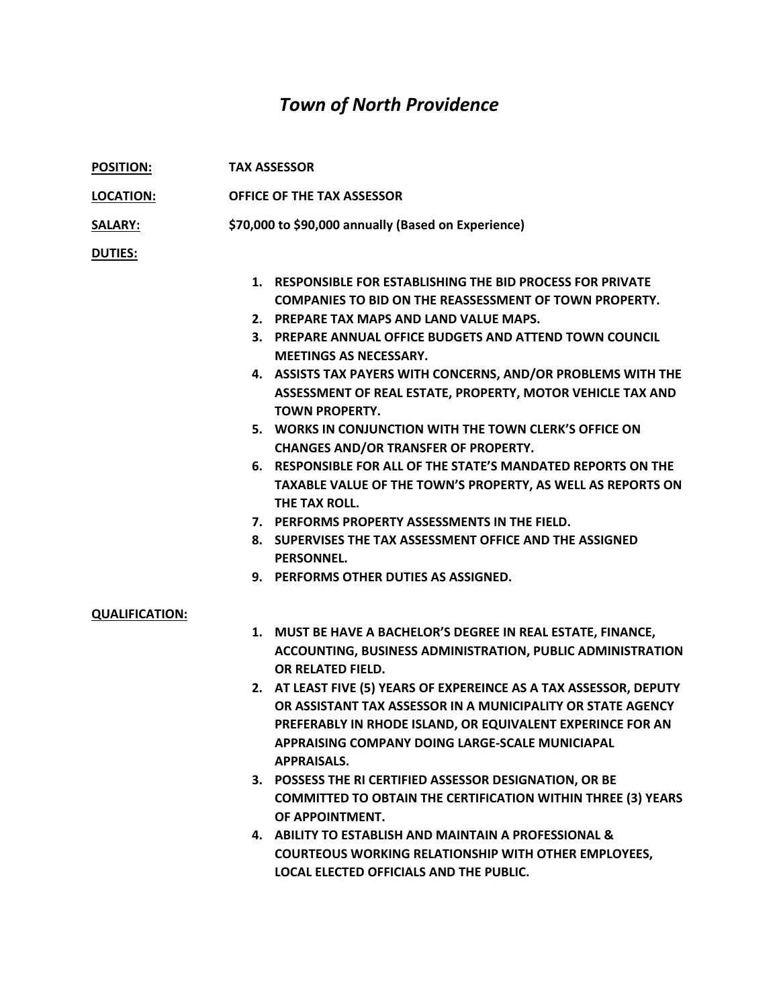## *Town of North Providence*

| <b>POSITION:</b>      | <b>TAX ASSESSOR</b>                                                                                                                                                                                                                                                                                                                                                                                                                                                                                                                                                                                                                                                                                                                                                                                    |
|-----------------------|--------------------------------------------------------------------------------------------------------------------------------------------------------------------------------------------------------------------------------------------------------------------------------------------------------------------------------------------------------------------------------------------------------------------------------------------------------------------------------------------------------------------------------------------------------------------------------------------------------------------------------------------------------------------------------------------------------------------------------------------------------------------------------------------------------|
| <b>LOCATION:</b>      | OFFICE OF THE TAX ASSESSOR                                                                                                                                                                                                                                                                                                                                                                                                                                                                                                                                                                                                                                                                                                                                                                             |
| <b>SALARY:</b>        | \$70,000 to \$90,000 annually (Based on Experience)                                                                                                                                                                                                                                                                                                                                                                                                                                                                                                                                                                                                                                                                                                                                                    |
| <b>DUTIES:</b>        |                                                                                                                                                                                                                                                                                                                                                                                                                                                                                                                                                                                                                                                                                                                                                                                                        |
|                       | 1. RESPONSIBLE FOR ESTABLISHING THE BID PROCESS FOR PRIVATE<br><b>COMPANIES TO BID ON THE REASSESSMENT OF TOWN PROPERTY.</b><br>2. PREPARE TAX MAPS AND LAND VALUE MAPS.<br>3. PREPARE ANNUAL OFFICE BUDGETS AND ATTEND TOWN COUNCIL<br><b>MEETINGS AS NECESSARY.</b><br>4. ASSISTS TAX PAYERS WITH CONCERNS, AND/OR PROBLEMS WITH THE<br>ASSESSMENT OF REAL ESTATE, PROPERTY, MOTOR VEHICLE TAX AND<br><b>TOWN PROPERTY.</b><br>5. WORKS IN CONJUNCTION WITH THE TOWN CLERK'S OFFICE ON<br><b>CHANGES AND/OR TRANSFER OF PROPERTY.</b><br>6. RESPONSIBLE FOR ALL OF THE STATE'S MANDATED REPORTS ON THE<br>TAXABLE VALUE OF THE TOWN'S PROPERTY, AS WELL AS REPORTS ON<br>THE TAX ROLL.<br>7. PERFORMS PROPERTY ASSESSMENTS IN THE FIELD.<br>8. SUPERVISES THE TAX ASSESSMENT OFFICE AND THE ASSIGNED |
|                       | <b>PERSONNEL.</b><br>9. PERFORMS OTHER DUTIES AS ASSIGNED.                                                                                                                                                                                                                                                                                                                                                                                                                                                                                                                                                                                                                                                                                                                                             |
| <b>QUALIFICATION:</b> | 1. MUST BE HAVE A BACHELOR'S DEGREE IN REAL ESTATE, FINANCE,<br>ACCOUNTING, BUSINESS ADMINISTRATION, PUBLIC ADMINISTRATION<br>OR RELATED FIELD.<br>2. AT LEAST FIVE (5) YEARS OF EXPEREINCE AS A TAX ASSESSOR, DEPUTY<br>OR ASSISTANT TAX ASSESSOR IN A MUNICIPALITY OR STATE AGENCY<br>PREFERABLY IN RHODE ISLAND, OR EQUIVALENT EXPERINCE FOR AN<br>APPRAISING COMPANY DOING LARGE-SCALE MUNICIAPAL<br><b>APPRAISALS.</b><br>3. POSSESS THE RI CERTIFIED ASSESSOR DESIGNATION, OR BE<br><b>COMMITTED TO OBTAIN THE CERTIFICATION WITHIN THREE (3) YEARS</b><br>OF APPOINTMENT.<br>4. ABILITY TO ESTABLISH AND MAINTAIN A PROFESSIONAL &<br><b>COURTEOUS WORKING RELATIONSHIP WITH OTHER EMPLOYEES,</b><br>LOCAL ELECTED OFFICIALS AND THE PUBLIC.                                                    |